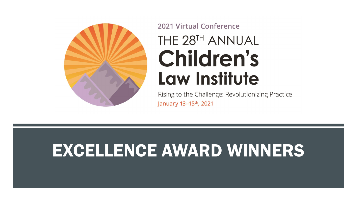

# **2021 Virtual Conference** THE 28TH ANNUAL **Children's Law Institute**

Rising to the Challenge: Revolutionizing Practice January 13-15<sup>th</sup>, 2021

# EXCELLENCE AWARD WINNERS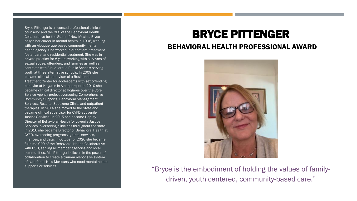Bryce Pittenger is a licensed professional clinical counselor and the CEO of the Behavioral Health Collaborative for the State of New Mexico. Bryce began her career in mental health in 1996, working with an Albuquerque based community mental health agency. She worked in outpatient, treatment foster care, and residential treatment. She was in private practice for 8 years working with survivors of sexual abuse, offenders, and families as well as contracts with Albuquerque Public Schools serving youth at three alternative schools. In 2009 she became clinical supervisor of a Residential Treatment Center for adolescents with sex offending behavior at Hogares in Albuquerque. In 2010 she became clinical director at Hogares over the Core Service Agency project overseeing Comprehensive Community Supports, Behavioral Management Services, Respite, Suboxone Clinic, and outpatient therapies. In 2014 she moved to the State and became clinical supervisor for CYFD's Juvenile Justice Services. In 2015 she became Deputy Director of Behavioral Health for Juvenile Justice Services, overseeing clinicians throughout the state. In 2016 she became Director of Behavioral Health at CYFD, overseeing programs, grants, services, finances, and data. In October of 2020 she became full time CEO of the Behavioral Health Collaborative with HSD, serving all member agencies and local communities. Ms. Pittenger believes in the power of collaboration to create a trauma responsive system of care for all New Mexicans who need mental health supports or services

# BRYCE PITTENGER

#### BEHAVIORAL HEALTH PROFESSIONAL AWARD



"Bryce is the embodiment of holding the values of familydriven, youth centered, community-based care."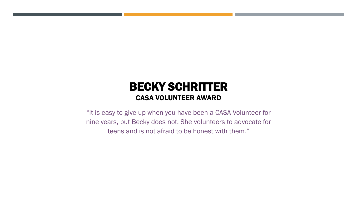## BECKY SCHRITTER CASA VOLUNTEER AWARD

"It is easy to give up when you have been a CASA Volunteer for nine years, but Becky does not. She volunteers to advocate for teens and is not afraid to be honest with them."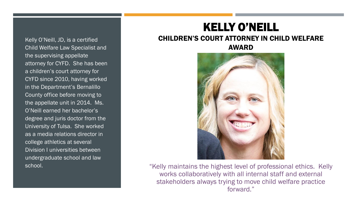Kelly O'Neill, JD, is a certified Child Welfare Law Specialist and the supervising appellate attorney for CYFD. She has been a children's court attorney for CYFD since 2010, having worked in the Department's Bernalillo County office before moving to the appellate unit in 2014. Ms. O'Neill earned her bachelor's degree and juris doctor from the University of Tulsa. She worked as a media relations director in college athletics at several Division I universities between undergraduate school and law school.

# KELLY O'NEILL

#### CHILDREN'S COURT ATTORNEY IN CHILD WELFARE

AWARD



"Kelly maintains the highest level of professional ethics. Kelly works collaboratively with all internal staff and external stakeholders always trying to move child welfare practice forward."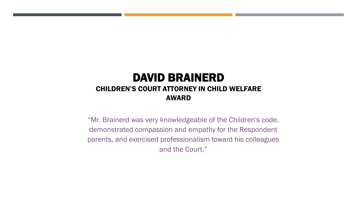#### DAVID BRAINERD CHILDREN'S COURT ATTORNEY IN CHILD WELFARE AWARD

"Mr. Brainerd was very knowledgeable of the Children's code, demonstrated compassion and empathy for the Respondent parents, and exercised professionalism toward his colleagues and the Court."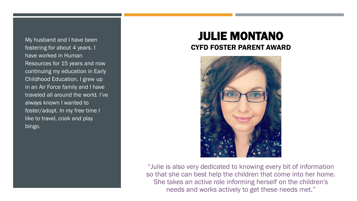My husband and I have been fostering for about 4 years. I have worked in Human Resources for 15 years and now continuing my education in Early Childhood Education. I grew up in an Air Force family and I have traveled all around the world. I've always known I wanted to foster/adopt. In my free time I like to travel, cook and play bingo.

### JULIE MONTANO CYFD FOSTER PARENT AWARD



"Julie is also very dedicated to knowing every bit of information so that she can best help the children that come into her home. She takes an active role informing herself on the children's needs and works actively to get these needs met."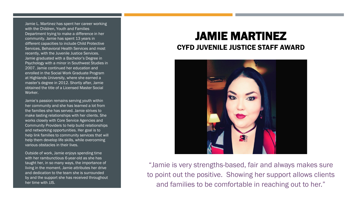Jamie L. Martinez has spent her career working with the Children, Youth and Families Department trying to make a difference in her community. Jamie has spent 13 years in different capacities to include Child Protective Services, Behavioral Health Services and most recently, with the Juvenile Justice Services. Jamie graduated with a Bachelor's Degree in Psychology with a minor in Southwest Studies in 2007. Jamie continued her education and enrolled in the Social Work Graduate Program at Highlands University, where she earned a master's degree in 2012. Shortly after, Jamie obtained the title of a Licensed Master Social Worker.

Jamie's passion remains serving youth within her community and she has learned a lot from the families she has served. Jamie strives to make lasting relationships with her clients. She works closely with Core Service Agencies and Community Providers to help build relationships and networking opportunities. Her goal is to help link families to community services that will help them develop life skills, while overcoming various obstacles in their lives.

Outside of work, Jamie enjoys spending time with her rambunctious 6-year-old as she has taught her, in so many ways, the importance of living in the moment. Jamie attributes her drive and dedication to the team she is surrounded by and the support she has received throughout her time with JJS.

### JAMIE MARTINEZ CYFD JUVENILE JUSTICE STAFF AWARD



"Jamie is very strengths-based, fair and always makes sure to point out the positive. Showing her support allows clients and families to be comfortable in reaching out to her."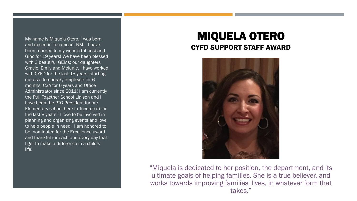My name is Miquela Otero, I was born and raised in Tucumcari, NM. I have been married to my wonderful husband Gino for 19 years! We have been blessed with 3 beautiful GEMs; our daughters Gracie, Emily and Melanie. I have worked with CYFD for the last 15 years, starting out as a temporary employee for 6 months, CSA for 6 years and Office Administrator since 2011! I am currently the Pull Together School Liaison and I have been the PTO President for our Elementary school here in Tucumcari for the last 8 years! I love to be involved in planning and organizing events and love to help people in need. I am honored to be nominated for the Excellence award and thankful for each and every day that I get to make a difference in a child's life!

### MIQUELA OTERO CYFD SUPPORT STAFF AWARD



"Miquela is dedicated to her position, the department, and its ultimate goals of helping families. She is a true believer, and works towards improving families' lives, in whatever form that takes."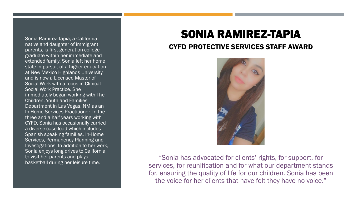Sonia Ramirez-Tapia, a California native and daughter of immigrant parents, is first-generation college graduate within her immediate and extended family. Sonia left her home state in pursuit of a higher education at New Mexico Highlands University and is now a Licensed Master of Social Work with a focus in Clinical Social Work Practice. She immediately began working with The Children, Youth and Families Department in Las Vegas, NM as an In-Home Services Practitioner. In the three and a half years working with CYFD, Sonia has occasionally carried a diverse case load which includes Spanish speaking families, In-Home Services, Permanency Planning and Investigations. In addition to her work, Sonia enjoys long drives to California to visit her parents and plays basketball during her leisure time.

# SONIA RAMIREZ-TAPIA

#### CYFD PROTECTIVE SERVICES STAFF AWARD



"Sonia has advocated for clients' rights, for support, for services, for reunification and for what our department stands for, ensuring the quality of life for our children. Sonia has been the voice for her clients that have felt they have no voice."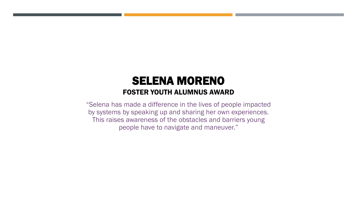### SELENA MORENO FOSTER YOUTH ALUMNUS AWARD

"Selena has made a difference in the lives of people impacted by systems by speaking up and sharing her own experiences. This raises awareness of the obstacles and barriers young people have to navigate and maneuver."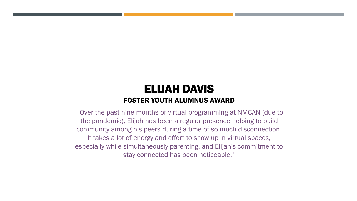### ELIJAH DAVIS FOSTER YOUTH ALUMNUS AWARD

"Over the past nine months of virtual programming at NMCAN (due to the pandemic), Elijah has been a regular presence helping to build community among his peers during a time of so much disconnection. It takes a lot of energy and effort to show up in virtual spaces, especially while simultaneously parenting, and Elijah's commitment to stay connected has been noticeable."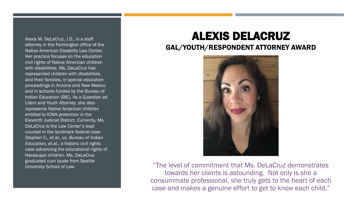Alexis M. DeLaCruz, J.D., is a staff attorney in the Farmington office of the Native American Disability Law Center. Her practice focuses on the education civil rights of Native American children with disabilities. Ms. DeLaCruz has represented children with disabilities, and their families, in special education proceedings in Arizona and New Mexico and in schools funded by the Bureau of Indian Education (BIE). As a Guardian ad Litem and Youth Attorney, she also represents Native American children entitled to ICWA protection in the Eleventh Judicial District. Currently, Ms. DeLaCruz is the Law Center's lead counsel in the landmark federal case *Stephen C., et al., vs. Bureau of Indian Education, et.al.,* a historic civil rights case advancing the educational rights of Havasupai children. Ms. DeLaCruz graduated cum laude from Seattle University School of Law.

## ALEXIS DELACRUZ

#### GAL/YOUTH/RESPONDENT ATTORNEY AWARD



"The level of commitment that Ms. DeLaCruz demonstrates towards her clients is astounding. Not only is she a consummate professional, she truly gets to the heart of each case and makes a genuine effort to get to know each child."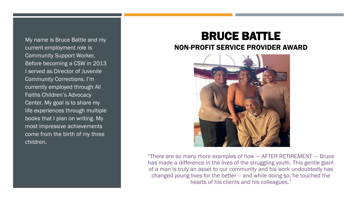My name is Bruce Battle and my current employment role is Community Support Worker. Before becoming a CSW in 2013 I served as Director of Juvenile Community Corrections. I'm currently employed through All Faiths Children's Advocacy Center. My goal is to share my life experiences through multiple books that I plan on writing. My most impressive achievements come from the birth of my three children.

#### BRUCE BATTLE NON-PROFIT SERVICE PROVIDER AWARD



"There are so many more examples of how --- AFTER RETIREMENT --- Bruce has made a difference in the lives of the struggling youth. This gentle giant of a man is truly an asset to our community and his work undoubtedly has changed young lives for the better – and while doing so, he touched the hearts of his clients and his colleagues."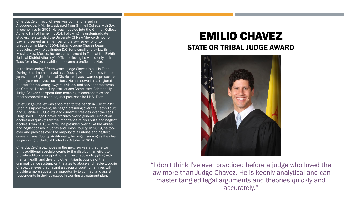Chief Judge Emilio J. Chavez was born and raised in Albuquerque, NM. He graduated from Grinnell College with B.A. in economics in 2001. He was inducted into the Grinnell College Athletic Hall of Fame in 2014. Following his undergraduate studies, he attended the University Of New Mexico School Of Law and served as a member of the law review prior to graduation in May of 2004. Initially, Judge Chavez began practicing law in Washington D.C. for a small energy law firm. Missing New Mexico, he took employment in Taos at the Eighth Judicial District Attorney's Office believing he would only be in Taos for a few years while he became a proficient skier.

In the intervening fifteen years, Judge Chavez is still in Taos. During that time he served as a Deputy District Attorney for ten years in the Eighth Judicial District and was awarded prosecutor of the year on several occasions. He has served as a regional director for the young lawyers division, and served three terms on Criminal Uniform Jury Instructions Committee. Additionally, Judge Chavez has spent time teaching microeconomics and macroeconomics as an adjunct professor for UNM-Taos.

Chief Judge Chavez was appointed to the bench in July of 2015. Upon his appointment, he began presiding over the Raton Adult and Juvenile Drug Courts and currently presides over the Taos Drug Court. Judge Chavez presides over a general jurisdiction docket and quickly saw the importance of his abuse and neglect docket. From 2015 – 2018, he presided over all of the abuse and neglect cases in Colfax and Union County. In 2019, he took over and presides over the majority of all abuse and neglect cases in Taos County. Additionally, he began serving as the chief judge in Eighth Judicial District in October of 2019.

Chief Judge Chavez hopes in the next few years that he can bring additional specialty courts to the district in an effort to provide additional support for families, people struggling with mental health and diverting other litigants outside of the criminal justice system. As it relates to abuse and neglect, Judge Chavez believes that having a specialty court for families will provide a more substantial opportunity to connect and assist respondents in their struggles in working a treatment plan.

## EMILIO CHAVEZ STATE OR TRIBAL JUDGE AWARD



"I don't think I've ever practiced before a judge who loved the law more than Judge Chavez. He is keenly analytical and can master tangled legal arguments and theories quickly and accurately."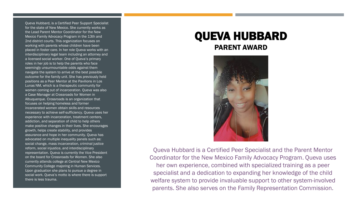Queva Hubbard, is a Certified Peer Support Specialist for the state of New Mexico. She currently works as the Lead Parent Mentor Coordinator for the New Mexico Family Advocacy Program in the 13th and 2nd district courts. This organization focuses on working with parents whose children have been placed in foster care. In her role Queva works with an interdisciplinary legal team including an attorney and a licensed social worker. One of Queva's primary roles in her job is to help the parents who face seemingly unsurmountable odds against them navigate the system to arrive at the best possible outcome for the family unit. She has previously held positions as a Peer Mentor at the Pavilions in Los Lunas NM, which is a therapeutic community for women coming out of incarceration. Queva was also a Case Manager at Crossroads for Women in Albuquerque. Crossroads is an organization that focuses on helping homeless and former incarcerated women obtain skills and resources necessary to achieve self-sufficiency. Queva uses her experience with incarceration, treatment centers, addiction, and separation of child to help others make positive changes in their lives. She encourages growth, helps create stability, and provides assurance and hope in her community. Queva has advocated on multiple inequality panels such as: social change, mass incarceration, criminal justice reform, social injustice, and interdisciplinary representation. Queva is currently the Vice President on the board for Crossroads for Women. She also currently attends college at Central New Mexico Community College majoring in Human Services. Upon graduation she plans to pursue a degree in social work. Queva's motto is where there is support there is less trauma.

#### QUEVA HUBBARD PARENT AWARD



Queva Hubbard is a Certified Peer Specialist and the Parent Mentor Coordinator for the New Mexico Family Advocacy Program. Queva uses her own experience, combined with specialized training as a peer specialist and a dedication to expanding her knowledge of the child welfare system to provide invaluable support to other system-involved parents. She also serves on the Family Representation Commission.